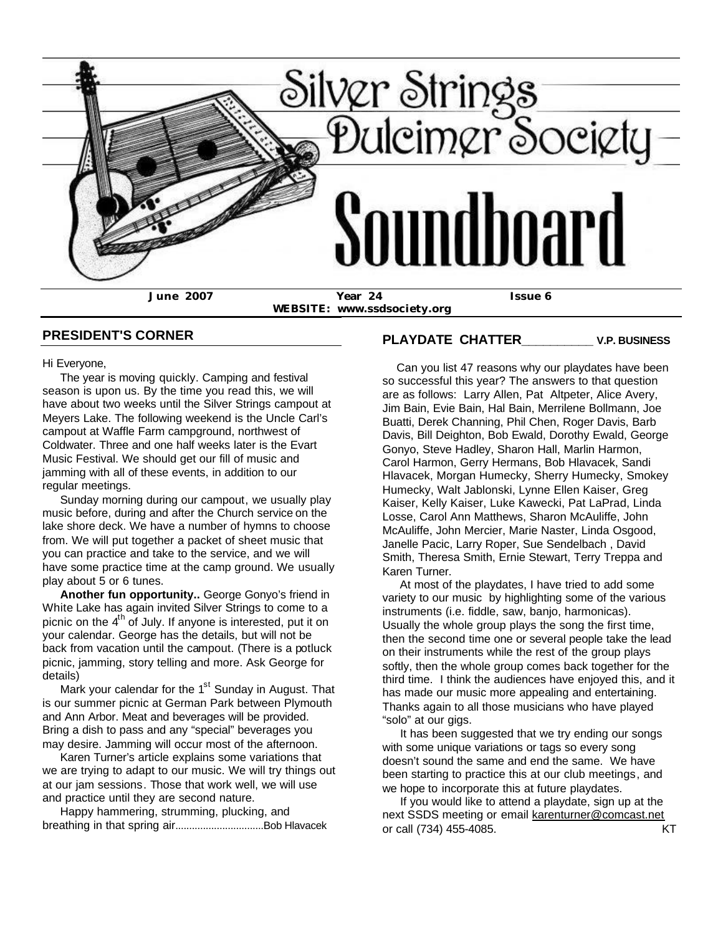

**WEBSITE: www.ssdsociety.org**

## **PRESIDENT'S CORNER**

Hi Everyone,

 The year is moving quickly. Camping and festival season is upon us. By the time you read this, we will have about two weeks until the Silver Strings campout at Meyers Lake. The following weekend is the Uncle Carl's campout at Waffle Farm campground, northwest of Coldwater. Three and one half weeks later is the Evart Music Festival. We should get our fill of music and jamming with all of these events, in addition to our regular meetings.

 Sunday morning during our campout, we usually play music before, during and after the Church service on the lake shore deck. We have a number of hymns to choose from. We will put together a packet of sheet music that you can practice and take to the service, and we will have some practice time at the camp ground. We usually play about 5 or 6 tunes.

 **Another fun opportunity..** George Gonyo's friend in White Lake has again invited Silver Strings to come to a picnic on the  $4<sup>th</sup>$  of July. If anyone is interested, put it on your calendar. George has the details, but will not be back from vacation until the campout. (There is a potluck picnic, jamming, story telling and more. Ask George for details)

Mark your calendar for the  $1<sup>st</sup>$  Sunday in August. That is our summer picnic at German Park between Plymouth and Ann Arbor. Meat and beverages will be provided. Bring a dish to pass and any "special" beverages you may desire. Jamming will occur most of the afternoon.

 Karen Turner's article explains some variations that we are trying to adapt to our music. We will try things out at our jam sessions. Those that work well, we will use and practice until they are second nature.

 Happy hammering, strumming, plucking, and breathing in that spring air................................Bob Hlavacek

# **PLAYDATE CHATTER\_\_\_\_\_\_\_\_\_\_ V.P. BUSINESS**

 Can you list 47 reasons why our playdates have been so successful this year? The answers to that question are as follows: Larry Allen, Pat Altpeter, Alice Avery, Jim Bain, Evie Bain, Hal Bain, Merrilene Bollmann, Joe Buatti, Derek Channing, Phil Chen, Roger Davis, Barb Davis, Bill Deighton, Bob Ewald, Dorothy Ewald, George Gonyo, Steve Hadley, Sharon Hall, Marlin Harmon, Carol Harmon, Gerry Hermans, Bob Hlavacek, Sandi Hlavacek, Morgan Humecky, Sherry Humecky, Smokey Humecky, Walt Jablonski, Lynne Ellen Kaiser, Greg Kaiser, Kelly Kaiser, Luke Kawecki, Pat LaPrad, Linda Losse, Carol Ann Matthews, Sharon McAuliffe, John McAuliffe, John Mercier, Marie Naster, Linda Osgood, Janelle Pacic, Larry Roper, Sue Sendelbach , David Smith, Theresa Smith, Ernie Stewart, Terry Treppa and Karen Turner.

 At most of the playdates, I have tried to add some variety to our music by highlighting some of the various instruments (i.e. fiddle, saw, banjo, harmonicas). Usually the whole group plays the song the first time, then the second time one or several people take the lead on their instruments while the rest of the group plays softly, then the whole group comes back together for the third time. I think the audiences have enjoyed this, and it has made our music more appealing and entertaining. Thanks again to all those musicians who have played "solo" at our gigs.

 It has been suggested that we try ending our songs with some unique variations or tags so every song doesn't sound the same and end the same. We have been starting to practice this at our club meetings, and we hope to incorporate this at future playdates.

 If you would like to attend a playdate, sign up at the next SSDS meeting or email karenturner@comcast.net or call (734) 455-4085. KT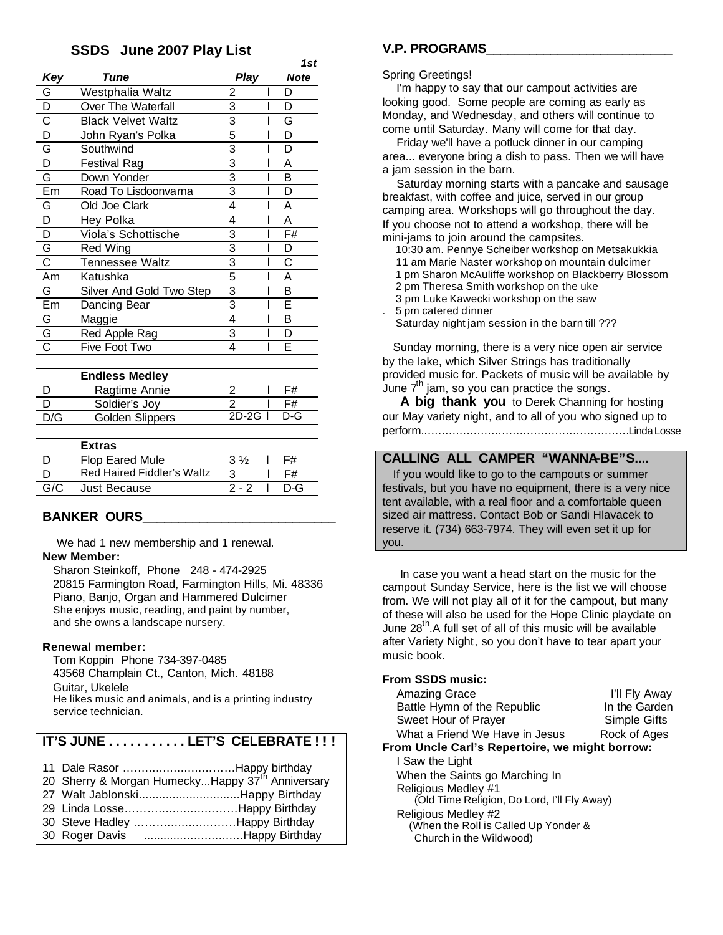## **SSDS June 2007 Play List**

|                         |                                                    |                                            | 1st                     |  |
|-------------------------|----------------------------------------------------|--------------------------------------------|-------------------------|--|
| Key                     | Tune                                               | Play                                       | <b>Note</b>             |  |
| G                       | Westphalia Waltz                                   | $\overline{c}$<br>I                        | D                       |  |
| $\overline{D}$          | <b>Over The Waterfall</b>                          | $\frac{3}{3}$<br>Ī                         | D                       |  |
| $\overline{\text{c}}$   | <b>Black Velvet Waltz</b>                          | I                                          | G                       |  |
| $\overline{D}$          | 5<br>$\overline{\phantom{a}}$<br>John Ryan's Polka |                                            | $\overline{\mathsf{D}}$ |  |
| G                       | Southwind                                          | $\overline{3}$<br>I                        | D                       |  |
| $\overline{D}$          | <b>Festival Rag</b>                                | $\frac{3}{3}$<br>I                         | A                       |  |
| G                       | Down Yonder                                        | I                                          | $\overline{\mathsf{B}}$ |  |
| Em                      | Road To Lisdoonvarna                               | $\overline{3}$<br>I                        | $\overline{\mathsf{D}}$ |  |
| $\overline{\mathbb{G}}$ | Old Joe Clark                                      | $\overline{4}$<br>I                        | A                       |  |
| $\overline{D}$          | Hey Polka                                          | 4<br>I                                     | A                       |  |
| $\overline{D}$          | Viola's Schottische                                | $\overline{3}$<br>$\overline{\phantom{a}}$ | F#                      |  |
| $rac{5}{3}$             | <b>Red Wing</b>                                    | $\overline{3}$<br>I                        | D                       |  |
|                         | Tennessee Waltz                                    | $\overline{3}$<br>I                        | $\overline{C}$          |  |
| Am                      | Katushka                                           | $\overline{5}$<br>I                        | $\overline{A}$          |  |
| G                       | Silver And Gold Two Step                           | $\frac{3}{3}$<br>I                         | $\overline{\mathsf{B}}$ |  |
| Em                      | Dancing Bear                                       | I                                          | $\overline{\mathsf{E}}$ |  |
| G                       | Maggie                                             | $\overline{4}$<br>I                        | $\overline{\mathsf{B}}$ |  |
| $rac{\overline{G}}{C}$  | Red Apple Rag                                      | 3<br>I                                     | $\overline{\mathsf{D}}$ |  |
|                         | Five Foot Two                                      | $\overline{\mathbf{A}}$<br>E<br>I          |                         |  |
|                         |                                                    |                                            |                         |  |
|                         | <b>Endless Medley</b>                              |                                            |                         |  |
| D                       | Ragtime Annie                                      | $\overline{2}$<br>I                        | F#                      |  |
| D                       | Soldier's Joy                                      | $\overline{2}$                             | F#                      |  |
| D/G                     | <b>Golden Slippers</b>                             | $2D-2G$                                    | D-G                     |  |
|                         |                                                    |                                            |                         |  |
|                         | <b>Extras</b>                                      |                                            |                         |  |
| D                       | <b>Flop Eared Mule</b>                             | $3\frac{1}{2}$<br>I                        | F#                      |  |
| D                       | <b>Red Haired Fiddler's Waltz</b>                  | $\overline{3}$<br>I                        | F#                      |  |
| G/C                     | <b>Just Because</b>                                | $2 - 2$<br>$\overline{1}$                  | $D-G$                   |  |

# **BANKER OURS\_\_\_\_\_\_\_\_\_\_\_\_\_\_\_\_\_\_\_\_\_\_\_\_\_\_\_**

We had 1 new membership and 1 renewal. **New Member:**

 Sharon Steinkoff, Phone 248 - 474-2925 20815 Farmington Road, Farmington Hills, Mi. 48336 Piano, Banjo, Organ and Hammered Dulcimer She enjoys music, reading, and paint by number, and she owns a landscape nursery.

### **Renewal member:**

 Tom Koppin Phone 734-397-0485 43568 Champlain Ct., Canton, Mich. 48188 Guitar, Ukelele He likes music and animals, and is a printing industry service technician.

# **IT'S JUNE . . . . . . . . . . . LET'S CELEBRATE ! ! !**

| 11 Dale Rasor Happy birthday                                 |  |
|--------------------------------------------------------------|--|
| 20 Sherry & Morgan HumeckyHappy 37 <sup>th</sup> Anniversary |  |
| 27 Walt JablonskiHappy Birthday                              |  |
| 29 Linda LosseHappy Birthday                                 |  |
| 30 Steve Hadley Happy Birthday                               |  |
| 30 Roger Davis Happy Birthday                                |  |

## **V.P. PROGRAMS\_\_\_\_\_\_\_\_\_\_\_\_\_\_\_\_\_\_\_\_\_\_\_\_\_\_**

#### Spring Greetings!

 I'm happy to say that our campout activities are looking good. Some people are coming as early as Monday, and Wednesday, and others will continue to come until Saturday. Many will come for that day.

 Friday we'll have a potluck dinner in our camping area... everyone bring a dish to pass. Then we will have a jam session in the barn.

 Saturday morning starts with a pancake and sausage breakfast, with coffee and juice, served in our group camping area. Workshops will go throughout the day. If you choose not to attend a workshop, there will be mini-jams to join around the campsites.

10:30 am. Pennye Scheiber workshop on Metsakukkia

11 am Marie Naster workshop on mountain dulcimer

1 pm Sharon McAuliffe workshop on Blackberry Blossom

2 pm Theresa Smith workshop on the uke

3 pm Luke Kawecki workshop on the saw

. 5 pm catered dinner

Saturday night jam session in the barn till ???

 Sunday morning, there is a very nice open air service by the lake, which Silver Strings has traditionally provided music for. Packets of music will be available by June  $7<sup>th</sup>$  jam, so you can practice the songs.

 **A big thank you** to Derek Channing for hosting our May variety night, and to all of you who signed up to perform...........................................................Linda Losse

## **CALLING ALL CAMPER "WANNA-BE"S....**

 If you would like to go to the campouts or summer festivals, but you have no equipment, there is a very nice tent available, with a real floor and a comfortable queen sized air mattress. Contact Bob or Sandi Hlavacek to reserve it. (734) 663-7974. They will even set it up for you.

 In case you want a head start on the music for the campout Sunday Service, here is the list we will choose from. We will not play all of it for the campout, but many of these will also be used for the Hope Clinic playdate on June  $28<sup>th</sup>$ . A full set of all of this music will be available after Variety Night, so you don't have to tear apart your music book.

### **From SSDS music:**

| <b>Amazing Grace</b>                           | I'll Fly Away |  |  |  |
|------------------------------------------------|---------------|--|--|--|
| Battle Hymn of the Republic                    | In the Garden |  |  |  |
| Sweet Hour of Prayer                           | Simple Gifts  |  |  |  |
| What a Friend We Have in Jesus                 | Rock of Ages  |  |  |  |
| From Uncle Carl's Repertoire, we might borrow: |               |  |  |  |
| المعاشر المتماسين وتحدث المتنا                 |               |  |  |  |

 I Saw the Light When the Saints go Marching In Religious Medley #1 (Old Time Religion, Do Lord, I'll Fly Away) Religious Medley #2

 (When the Roll is Called Up Yonder & Church in the Wildwood)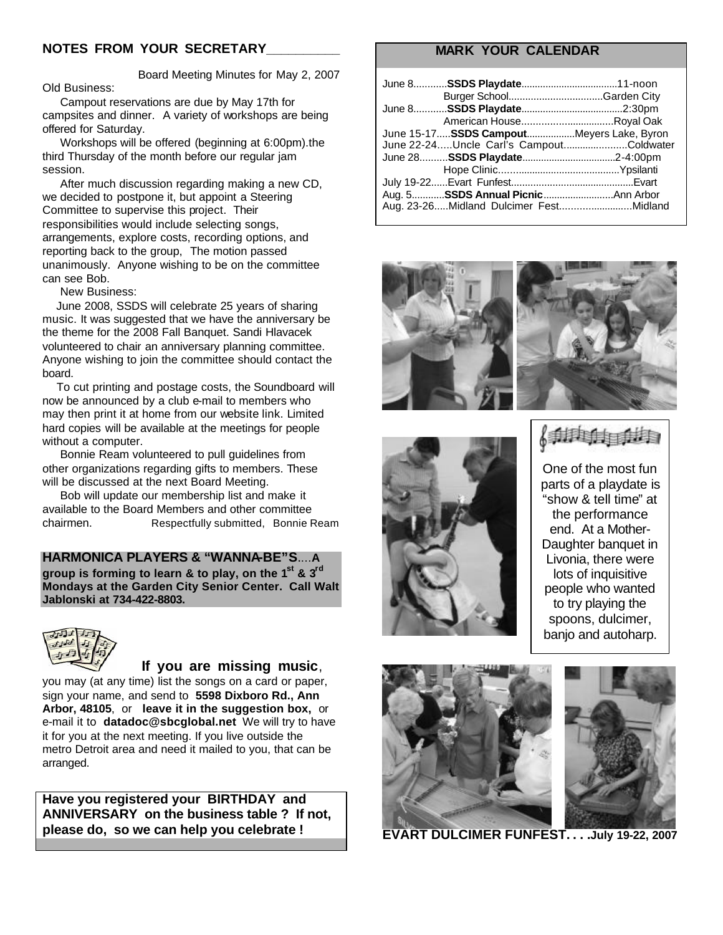## **NOTES FROM YOUR SECRETARY\_\_\_\_\_\_\_\_\_\_**

 Board Meeting Minutes for May 2, 2007 Old Business:

 Campout reservations are due by May 17th for campsites and dinner. A variety of workshops are being offered for Saturday.

 Workshops will be offered (beginning at 6:00pm).the third Thursday of the month before our regular jam session.

 After much discussion regarding making a new CD, we decided to postpone it, but appoint a Steering Committee to supervise this project. Their responsibilities would include selecting songs, arrangements, explore costs, recording options, and reporting back to the group, The motion passed unanimously. Anyone wishing to be on the committee can see Bob.

New Business:

 June 2008, SSDS will celebrate 25 years of sharing music. It was suggested that we have the anniversary be the theme for the 2008 Fall Banquet. Sandi Hlavacek volunteered to chair an anniversary planning committee. Anyone wishing to join the committee should contact the board.

 To cut printing and postage costs, the Soundboard will now be announced by a club e-mail to members who may then print it at home from our website link. Limited hard copies will be available at the meetings for people without a computer.

 Bonnie Ream volunteered to pull guidelines from other organizations regarding gifts to members. These will be discussed at the next Board Meeting.

 Bob will update our membership list and make it available to the Board Members and other committee chairmen. Respectfully submitted, Bonnie Ream

#### **HARMONICA PLAYERS & "WANNA-BE"S**....**A**

**group is forming to learn & to play, on the 1st & 3rd Mondays at the Garden City Senior Center. Call Walt Jablonski at 734-422-8803.**



### **If you are missing music**,

you may (at any time) list the songs on a card or paper, sign your name, and send to **5598 Dixboro Rd., Ann Arbor, 48105**, or **leave it in the suggestion box,** or e-mail it to **datadoc@sbcglobal.net** We will try to have it for you at the next meeting. If you live outside the metro Detroit area and need it mailed to you, that can be arranged.

**Have you registered your BIRTHDAY and ANNIVERSARY on the business table ? If not, please do, so we can help you celebrate !**

# **MARK YOUR CALENDAR**

| American HouseRoyal Oak                   |  |
|-------------------------------------------|--|
| June 15-17 SSDS CampoutMeyers Lake, Byron |  |
| June 22-24Uncle Carl's CampoutColdwater   |  |
|                                           |  |
|                                           |  |
|                                           |  |
|                                           |  |
| Aug. 23-26Midland Dulcimer FestMidland    |  |







$$
\langle\text{min}_{i}\rangle
$$

One of the most fun parts of a playdate is "show & tell time" at the performance end. At a Mother-Daughter banquet in Livonia, there were lots of inquisitive people who wanted to try playing the spoons, dulcimer, banjo and autoharp.





**EVART DULCIMER FUNFEST. . . .July 19-22, 2007**